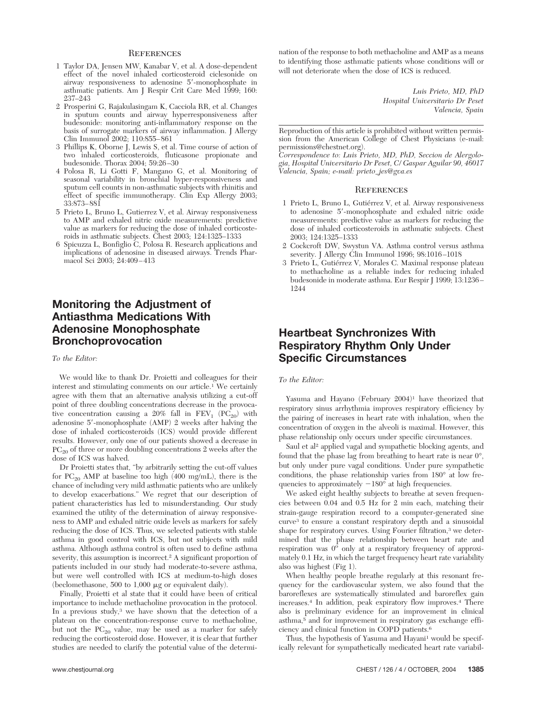## **REFERENCES**

- 1 Taylor DA, Jensen MW, Kanabar V, et al. A dose-dependent effect of the novel inhaled corticosteroid ciclesonide on airway responsiveness to adenosine 5-monophosphate in asthmatic patients. Am J Respir Crit Care Med 1999; 160: 237–243
- 2 Prosperini G, Rajakulasingam K, Cacciola RR, et al. Changes in sputum counts and airway hyperresponsiveness after budesonide: monitoring anti-inflammatory response on the basis of surrogate markers of airway inflammation. J Allergy Clin Immunol 2002; 110:855–861
- 3 Phillips K, Oborne J, Lewis S, et al. Time course of action of two inhaled corticosteroids, fluticasone propionate and budesonide. Thorax 2004; 59:26–30
- 4 Polosa R, Li Gotti F, Mangano G, et al. Monitoring of seasonal variability in bronchial hyper-responsiveness and sputum cell counts in non-asthmatic subjects with rhinitis and effect of specific immunotherapy. Clin Exp Allergy 2003; 33:873–881
- 5 Prieto L, Bruno L, Gutierrez V, et al. Airway responsiveness to AMP and exhaled nitric oxide measurements: predictive value as markers for reducing the dose of inhaled corticosteroids in asthmatic subjects. Chest 2003; 124:1325–1333
- 6 Spicuzza L, Bonfiglio C, Polosa R. Research applications and implications of adenosine in diseased airways. Trends Pharmacol Sci 2003; 24:409–413

# **Monitoring the Adjustment of Antiasthma Medications With Adenosine Monophosphate Bronchoprovocation**

### *To the Editor:*

We would like to thank Dr. Proietti and colleagues for their interest and stimulating comments on our article.<sup>1</sup> We certainly agree with them that an alternative analysis utilizing a cut-off point of three doubling concentrations decrease in the provocative concentration causing a 20% fall in  $FEV_1$  (PC<sub>20</sub>) with adenosine 5-monophosphate (AMP) 2 weeks after halving the dose of inhaled corticosteroids (ICS) would provide different results. However, only one of our patients showed a decrease in  ${\rm PC}_{20}$  of three or more doubling concentrations 2 weeks after the dose of ICS was halved.

Dr Proietti states that, "by arbitrarily setting the cut-off values for  $PC_{20}$  AMP at baseline too high (400 mg/mL), there is the chance of including very mild asthmatic patients who are unlikely to develop exacerbations." We regret that our description of patient characteristics has led to misunderstanding. Our study examined the utility of the determination of airway responsiveness to AMP and exhaled nitric oxide levels as markers for safely reducing the dose of ICS. Thus, we selected patients with stable asthma in good control with ICS, but not subjects with mild asthma. Although asthma control is often used to define asthma severity, this assumption is incorrect.<sup>2</sup> A significant proportion of patients included in our study had moderate-to-severe asthma, but were well controlled with ICS at medium-to-high doses (beclomethasone, 500 to  $1,000 \mu$ g or equivalent daily).

Finally, Proietti et al state that it could have been of critical importance to include methacholine provocation in the protocol. In a previous study,<sup>3</sup> we have shown that the detection of a plateau on the concentration-response curve to methacholine, but not the  $PC_{20}$  value, may be used as a marker for safely reducing the corticosteroid dose. However, it is clear that further studies are needed to clarify the potential value of the determination of the response to both methacholine and AMP as a means to identifying those asthmatic patients whose conditions will or will not deteriorate when the dose of ICS is reduced.

> *Luis Prieto, MD, PhD Hospital Universitario Dr Peset Valencia, Spain*

Reproduction of this article is prohibited without written permission from the American College of Chest Physicians (e-mail: permissions@chestnet.org).

*Correspondence to: Luis Prieto, MD, PhD, Seccion de Alergologia, Hospital Universitario Dr Peset, C/ Gaspar Aguilar 90, 46017 Valencia, Spain; e-mail: prieto\_jes@gva.es*

#### **REFERENCES**

- 1 Prieto L, Bruno L, Gutiérrez V, et al. Airway responsiveness to adenosine 5'-monophosphate and exhaled nitric oxide measurements: predictive value as markers for reducing the dose of inhaled corticosteroids in asthmatic subjects. Chest 2003; 124:1325–1333
- 2 Cockcroft DW, Swystun VA. Asthma control versus asthma severity. J Allergy Clin Immunol 1996; 98:1016–1018
- 3 Prieto L, Gutiérrez V, Morales C. Maximal response plateau to methacholine as a reliable index for reducing inhaled budesonide in moderate asthma. Eur Respir J 1999; 13:1236– 1244

# **Heartbeat Synchronizes With Respiratory Rhythm Only Under Specific Circumstances**

### *To the Editor:*

Yasuma and Hayano (February 2004)<sup>1</sup> have theorized that respiratory sinus arrhythmia improves respiratory efficiency by the pairing of increases in heart rate with inhalation, when the concentration of oxygen in the alveoli is maximal. However, this phase relationship only occurs under specific circumstances.

Saul et al<sup>2</sup> applied vagal and sympathetic blocking agents, and found that the phase lag from breathing to heart rate is near 0°, but only under pure vagal conditions. Under pure sympathetic conditions, the phase relationship varies from 180° at low frequencies to approximately  $-180^\circ$  at high frequencies.

We asked eight healthy subjects to breathe at seven frequencies between 0.04 and 0.5 Hz for 2 min each, matching their strain-gauge respiration record to a computer-generated sine curve3 to ensure a constant respiratory depth and a sinusoidal shape for respiratory curves. Using Fourier filtration,<sup>3</sup> we determined that the phase relationship between heart rate and respiration was  $0^{\circ}$  only at a respiratory frequency of approximately 0.1 Hz, in which the target frequency heart rate variability also was highest (Fig 1).

When healthy people breathe regularly at this resonant frequency for the cardiovascular system, we also found that the baroreflexes are systematically stimulated and baroreflex gain increases.4 In addition, peak expiratory flow improves.4 There also is preliminary evidence for an improvement in clinical asthma,<sup>5</sup> and for improvement in respiratory gas exchange efficiency and clinical function in COPD patients.6

Thus, the hypothesis of Yasuma and Hayani<sup>1</sup> would be specifically relevant for sympathetically medicated heart rate variabil-